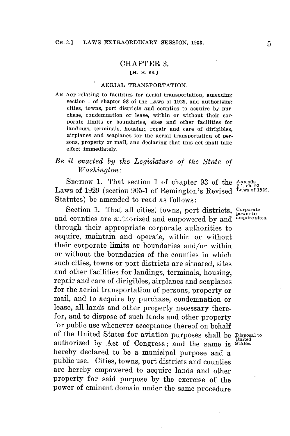## CHAPTER **3.**

## **[H. B. 68.]**

## AERIAL TRANSPORTATION.

**AN** AcT relating to facilities for aerial transportation, amending section **1** of chapter **93** of the Laws of **1929,** and authorizing cities, towns, port districts and counties to acquire **by** purchase, condemnation or lease, within or without their corporate limits or boundaries, sites and other facilities for landings, terminals, housing, repair and care of dirigibles, airplanes and seaplanes for the aerial transportation of persons, property or mail, and declaring that this act shall take effect immediately.

## *Be it enacted by the Legislature of the State of Washington:*

SECTION 1. That section 1 of chapter 93 of the Amends<br>
Laws of 1929 (section 905-1 of Remington's Revised Laws of 1929. Statutes) be amended to read as follows:

Section **1.** That all cities; towns, port districts, **corporate** and counties are authorized and empowered **by** and **acuire sites.** through their appropriate corporate authorities to acquire, maintain and operate, within or without their corporate limits or boundaries and/or within or without the boundaries of the counties in which such cities, towns or port districts are situated, sites and other facilities for landings, terminals, housing, repair and care **of** dirigibles, airplanes and seaplanes for the aerial transportation of persons, property or mail, and to acquire **by** purchase, condemnation or lease, all lands and other property necessary therefor, and to dispose of such lands and other property for public use whenever acceptance thereof on behalf of the United States for aviation purposes shall be **Disposalto** authorized by Act of Congress; and the same is States. hereby declared to be a municipal purpose and a public use. Cities, towns, port districts and counties are hereby empowered to acquire lands and other property for said purpose **by** the exercise of the power of eminent domain under the same procedure

**power to**